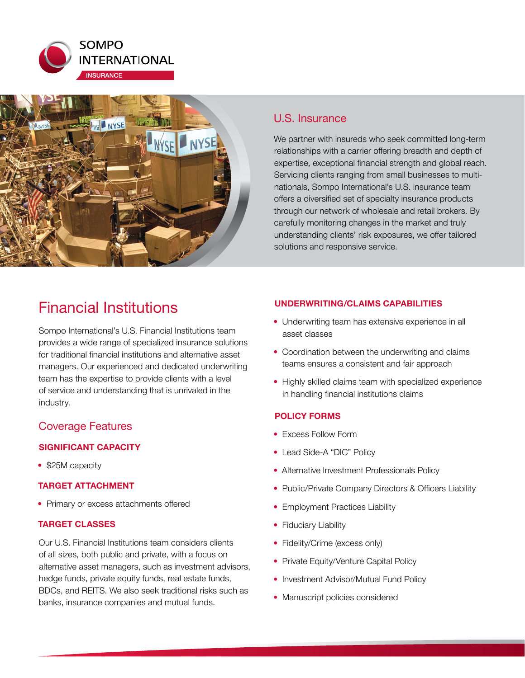



# U.S. Insurance

We partner with insureds who seek committed long-term relationships with a carrier offering breadth and depth of expertise, exceptional financial strength and global reach. Servicing clients ranging from small businesses to multinationals, Sompo International's U.S. insurance team offers a diversified set of specialty insurance products through our network of wholesale and retail brokers. By carefully monitoring changes in the market and truly understanding clients' risk exposures, we offer tailored solutions and responsive service.

# Financial Institutions

Sompo International's U.S. Financial Institutions team provides a wide range of specialized insurance solutions for traditional financial institutions and alternative asset managers. Our experienced and dedicated underwriting team has the expertise to provide clients with a level of service and understanding that is unrivaled in the industry.

# Coverage Features

# **SIGNIFICANT CAPACITY**

• \$25M capacity

### **TARGET ATTACHMENT**

• Primary or excess attachments offered

## **TARGET CLASSES**

Our U.S. Financial Institutions team considers clients of all sizes, both public and private, with a focus on alternative asset managers, such as investment advisors, hedge funds, private equity funds, real estate funds, BDCs, and REITS. We also seek traditional risks such as banks, insurance companies and mutual funds.

## **UNDERWRITING/CLAIMS CAPABILITIES**

- Underwriting team has extensive experience in all asset classes
- Coordination between the underwriting and claims teams ensures a consistent and fair approach
- Highly skilled claims team with specialized experience in handling financial institutions claims

# **POLICY FORMS**

- Excess Follow Form
- Lead Side-A "DIC" Policy
- Alternative Investment Professionals Policy
- Public/Private Company Directors & Officers Liability
- Employment Practices Liability
- Fiduciary Liability
- Fidelity/Crime (excess only)
- Private Equity/Venture Capital Policy
- Investment Advisor/Mutual Fund Policy
- Manuscript policies considered